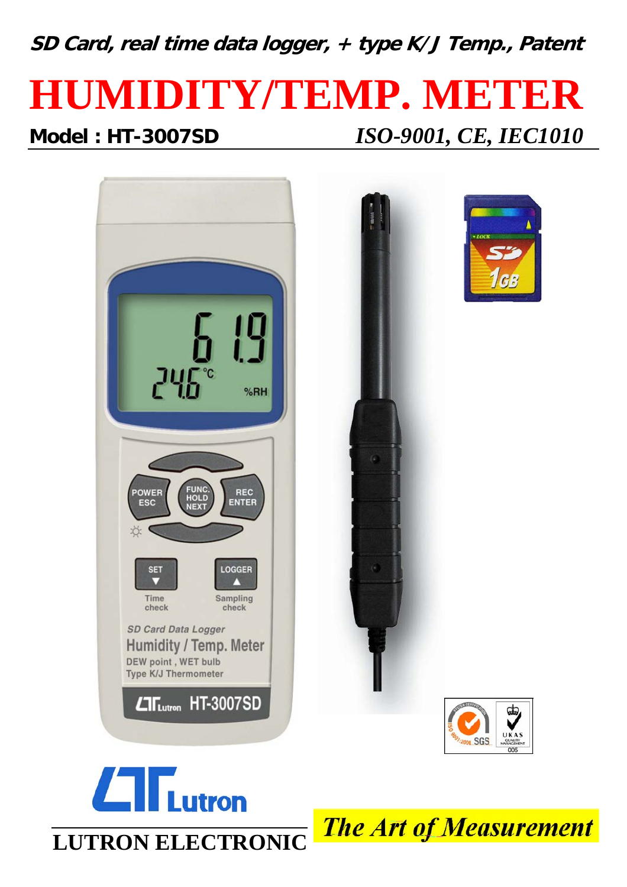**SD Card, real time data logger, + type K/J Temp., Patent**

# **HUMIDITY/TEMP. METER Model : HT-3007SD** *ISO-9001, CE, IEC1010*





**The Art of Measurement**